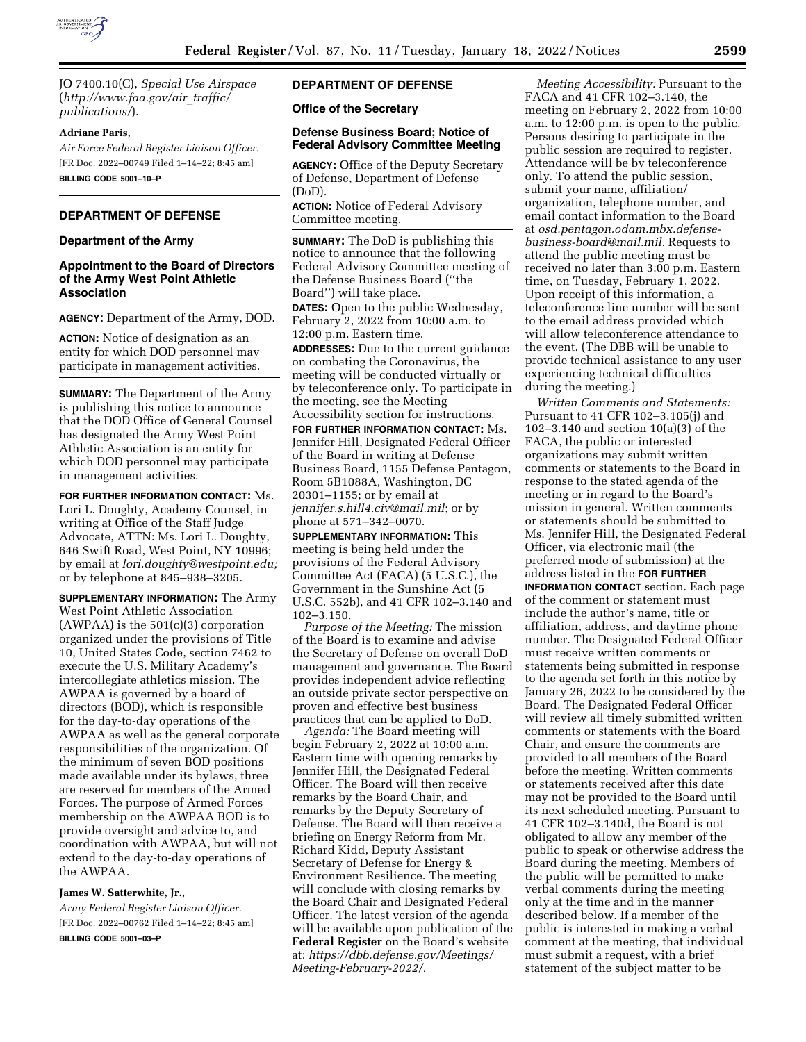

JO 7400.10(C), *Special Use Airspace*  (*[http://www.faa.gov/air](http://www.faa.gov/air_traffic/publications/)*\_*traffic/ [publications/](http://www.faa.gov/air_traffic/publications/)*).

### **Adriane Paris,**

*Air Force Federal Register Liaison Officer.*  [FR Doc. 2022–00749 Filed 1–14–22; 8:45 am] **BILLING CODE 5001–10–P** 

## **DEPARTMENT OF DEFENSE**

#### **Department of the Army**

# **Appointment to the Board of Directors of the Army West Point Athletic Association**

**AGENCY:** Department of the Army, DOD.

**ACTION:** Notice of designation as an entity for which DOD personnel may participate in management activities.

**SUMMARY:** The Department of the Army is publishing this notice to announce that the DOD Office of General Counsel has designated the Army West Point Athletic Association is an entity for which DOD personnel may participate in management activities.

**FOR FURTHER INFORMATION CONTACT:** Ms. Lori L. Doughty, Academy Counsel, in writing at Office of the Staff Judge Advocate, ATTN: Ms. Lori L. Doughty, 646 Swift Road, West Point, NY 10996; by email at *[lori.doughty@westpoint.edu;](mailto:lori.doughty@westpoint.edu)*  or by telephone at 845–938–3205.

**SUPPLEMENTARY INFORMATION:** The Army West Point Athletic Association  $(AWPAA)$  is the 501 $(c)(3)$  corporation organized under the provisions of Title 10, United States Code, section 7462 to execute the U.S. Military Academy's intercollegiate athletics mission. The AWPAA is governed by a board of directors (BOD), which is responsible for the day-to-day operations of the AWPAA as well as the general corporate responsibilities of the organization. Of the minimum of seven BOD positions made available under its bylaws, three are reserved for members of the Armed Forces. The purpose of Armed Forces membership on the AWPAA BOD is to provide oversight and advice to, and coordination with AWPAA, but will not extend to the day-to-day operations of the AWPAA.

## **James W. Satterwhite, Jr.,**

*Army Federal Register Liaison Officer.*  [FR Doc. 2022–00762 Filed 1–14–22; 8:45 am] **BILLING CODE 5001–03–P** 

# **DEPARTMENT OF DEFENSE**

**Office of the Secretary** 

## **Defense Business Board; Notice of Federal Advisory Committee Meeting**

**AGENCY:** Office of the Deputy Secretary of Defense, Department of Defense (DoD).

**ACTION:** Notice of Federal Advisory Committee meeting.

**SUMMARY:** The DoD is publishing this notice to announce that the following Federal Advisory Committee meeting of the Defense Business Board (''the Board'') will take place.

**DATES:** Open to the public Wednesday, February 2, 2022 from 10:00 a.m. to 12:00 p.m. Eastern time.

**ADDRESSES:** Due to the current guidance on combating the Coronavirus, the meeting will be conducted virtually or by teleconference only. To participate in the meeting, see the Meeting Accessibility section for instructions.

**FOR FURTHER INFORMATION CONTACT:** Ms. Jennifer Hill, Designated Federal Officer of the Board in writing at Defense Business Board, 1155 Defense Pentagon, Room 5B1088A, Washington, DC 20301–1155; or by email at *[jennifer.s.hill4.civ@mail.mil](mailto:jennifer.s.hill4.civ@mail.mil)*; or by phone at 571–342–0070.

**SUPPLEMENTARY INFORMATION:** This meeting is being held under the provisions of the Federal Advisory Committee Act (FACA) (5 U.S.C.), the Government in the Sunshine Act (5 U.S.C. 552b), and 41 CFR 102–3.140 and 102–3.150.

*Purpose of the Meeting:* The mission of the Board is to examine and advise the Secretary of Defense on overall DoD management and governance. The Board provides independent advice reflecting an outside private sector perspective on proven and effective best business practices that can be applied to DoD.

*Agenda:* The Board meeting will begin February 2, 2022 at 10:00 a.m. Eastern time with opening remarks by Jennifer Hill, the Designated Federal Officer. The Board will then receive remarks by the Board Chair, and remarks by the Deputy Secretary of Defense. The Board will then receive a briefing on Energy Reform from Mr. Richard Kidd, Deputy Assistant Secretary of Defense for Energy & Environment Resilience. The meeting will conclude with closing remarks by the Board Chair and Designated Federal Officer. The latest version of the agenda will be available upon publication of the **Federal Register** on the Board's website at: *[https://dbb.defense.gov/Meetings/](https://dbb.defense.gov/Meetings/Meeting-February-2022/)  [Meeting-February-2022/.](https://dbb.defense.gov/Meetings/Meeting-February-2022/)* 

*Meeting Accessibility:* Pursuant to the FACA and 41 CFR 102–3.140, the meeting on February 2, 2022 from 10:00 a.m. to 12:00 p.m. is open to the public. Persons desiring to participate in the public session are required to register. Attendance will be by teleconference only. To attend the public session, submit your name, affiliation/ organization, telephone number, and email contact information to the Board at *[osd.pentagon.odam.mbx.defense](mailto:osd.pentagon.odam.mbx.defense-business-board@mail.mil)[business-board@mail.mil.](mailto:osd.pentagon.odam.mbx.defense-business-board@mail.mil)* Requests to attend the public meeting must be received no later than 3:00 p.m. Eastern time, on Tuesday, February 1, 2022. Upon receipt of this information, a teleconference line number will be sent to the email address provided which will allow teleconference attendance to the event. (The DBB will be unable to provide technical assistance to any user experiencing technical difficulties during the meeting.)

*Written Comments and Statements:*  Pursuant to 41 CFR 102–3.105(j) and 102–3.140 and section 10(a)(3) of the FACA, the public or interested organizations may submit written comments or statements to the Board in response to the stated agenda of the meeting or in regard to the Board's mission in general. Written comments or statements should be submitted to Ms. Jennifer Hill, the Designated Federal Officer, via electronic mail (the preferred mode of submission) at the address listed in the **FOR FURTHER INFORMATION CONTACT** section. Each page of the comment or statement must include the author's name, title or affiliation, address, and daytime phone number. The Designated Federal Officer must receive written comments or statements being submitted in response to the agenda set forth in this notice by January 26, 2022 to be considered by the Board. The Designated Federal Officer will review all timely submitted written comments or statements with the Board Chair, and ensure the comments are provided to all members of the Board before the meeting. Written comments or statements received after this date may not be provided to the Board until its next scheduled meeting. Pursuant to 41 CFR 102–3.140d, the Board is not obligated to allow any member of the public to speak or otherwise address the Board during the meeting. Members of the public will be permitted to make verbal comments during the meeting only at the time and in the manner described below. If a member of the public is interested in making a verbal comment at the meeting, that individual must submit a request, with a brief statement of the subject matter to be